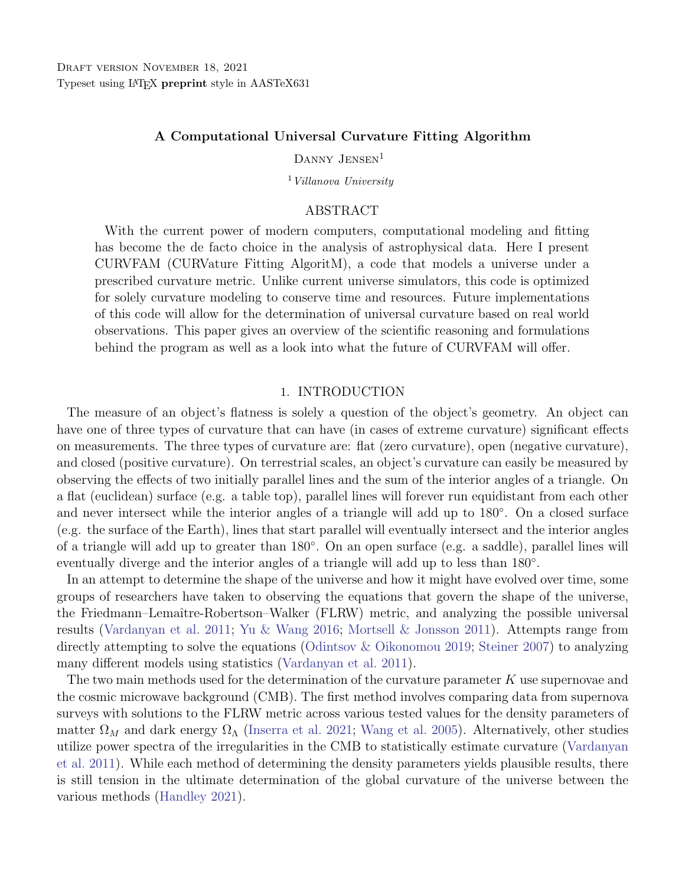## A Computational Universal Curvature Fitting Algorithm

DANNY JENSEN<sup>1</sup>

<sup>1</sup> Villanova University

## ABSTRACT

With the current power of modern computers, computational modeling and fitting has become the de facto choice in the analysis of astrophysical data. Here I present CURVFAM (CURVature Fitting AlgoritM), a code that models a universe under a prescribed curvature metric. Unlike current universe simulators, this code is optimized for solely curvature modeling to conserve time and resources. Future implementations of this code will allow for the determination of universal curvature based on real world observations. This paper gives an overview of the scientific reasoning and formulations behind the program as well as a look into what the future of CURVFAM will offer.

#### 1. INTRODUCTION

The measure of an object's flatness is solely a question of the object's geometry. An object can have one of three types of curvature that can have (in cases of extreme curvature) significant effects on measurements. The three types of curvature are: flat (zero curvature), open (negative curvature), and closed (positive curvature). On terrestrial scales, an object's curvature can easily be measured by observing the effects of two initially parallel lines and the sum of the interior angles of a triangle. On a flat (euclidean) surface (e.g. a table top), parallel lines will forever run equidistant from each other and never intersect while the interior angles of a triangle will add up to 180◦ . On a closed surface (e.g. the surface of the Earth), lines that start parallel will eventually intersect and the interior angles of a triangle will add up to greater than 180◦ . On an open surface (e.g. a saddle), parallel lines will eventually diverge and the interior angles of a triangle will add up to less than 180<sup>°</sup>.

In an attempt to determine the shape of the universe and how it might have evolved over time, some groups of researchers have taken to observing the equations that govern the shape of the universe, the Friedmann–Lemaˆıtre-Robertson–Walker (FLRW) metric, and analyzing the possible universal results [\(Vardanyan et al.](#page-7-0) [2011;](#page-7-0) [Yu & Wang](#page-7-1) [2016;](#page-7-1) [Mortsell & Jonsson](#page-7-2) [2011\)](#page-7-2). Attempts range from directly attempting to solve the equations [\(Odintsov & Oikonomou](#page-7-3) [2019;](#page-7-3) [Steiner](#page-7-4) [2007\)](#page-7-4) to analyzing many different models using statistics [\(Vardanyan et al.](#page-7-0) [2011\)](#page-7-0).

The two main methods used for the determination of the curvature parameter K use supernovae and the cosmic microwave background (CMB). The first method involves comparing data from supernova surveys with solutions to the FLRW metric across various tested values for the density parameters of matter  $\Omega_M$  and dark energy  $\Omega_{\Lambda}$  [\(Inserra et al.](#page-7-5) [2021;](#page-7-5) [Wang et al.](#page-7-6) [2005\)](#page-7-6). Alternatively, other studies utilize power spectra of the irregularities in the CMB to statistically estimate curvature [\(Vardanyan](#page-7-0) [et al.](#page-7-0) [2011\)](#page-7-0). While each method of determining the density parameters yields plausible results, there is still tension in the ultimate determination of the global curvature of the universe between the various methods [\(Handley](#page-7-7) [2021\)](#page-7-7).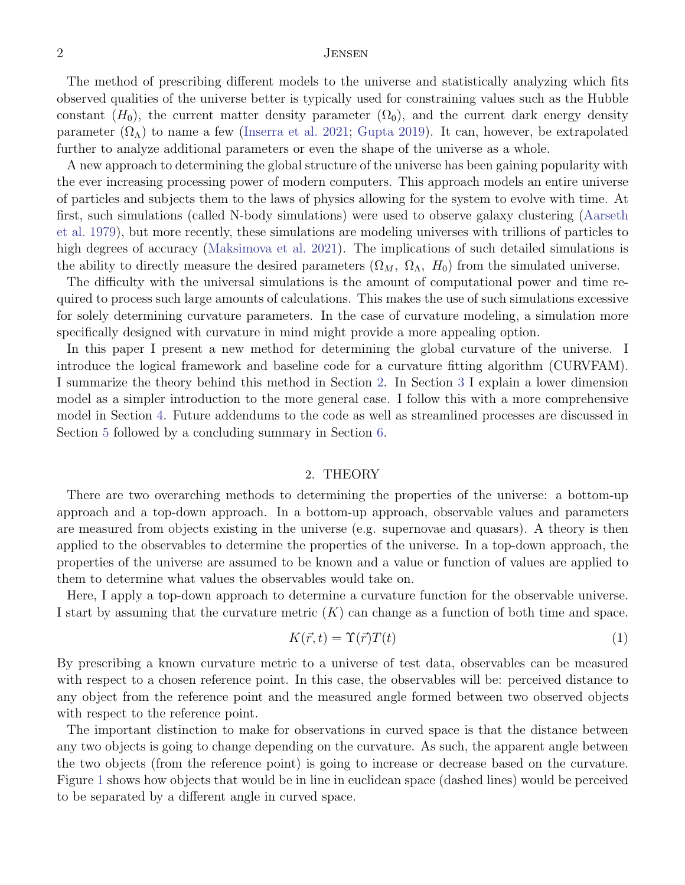# 2 Jensen

The method of prescribing different models to the universe and statistically analyzing which fits observed qualities of the universe better is typically used for constraining values such as the Hubble constant  $(H_0)$ , the current matter density parameter  $(\Omega_0)$ , and the current dark energy density parameter  $(\Omega_{\Lambda})$  to name a few [\(Inserra et al.](#page-7-5) [2021;](#page-7-5) [Gupta](#page-7-8) [2019\)](#page-7-8). It can, however, be extrapolated further to analyze additional parameters or even the shape of the universe as a whole.

A new approach to determining the global structure of the universe has been gaining popularity with the ever increasing processing power of modern computers. This approach models an entire universe of particles and subjects them to the laws of physics allowing for the system to evolve with time. At first, such simulations (called N-body simulations) were used to observe galaxy clustering [\(Aarseth](#page-7-9) [et al.](#page-7-9) [1979\)](#page-7-9), but more recently, these simulations are modeling universes with trillions of particles to high degrees of accuracy [\(Maksimova et al.](#page-7-10) [2021\)](#page-7-10). The implications of such detailed simulations is the ability to directly measure the desired parameters  $(\Omega_M, \Omega_{\Lambda}, H_0)$  from the simulated universe.

The difficulty with the universal simulations is the amount of computational power and time required to process such large amounts of calculations. This makes the use of such simulations excessive for solely determining curvature parameters. In the case of curvature modeling, a simulation more specifically designed with curvature in mind might provide a more appealing option.

In this paper I present a new method for determining the global curvature of the universe. I introduce the logical framework and baseline code for a curvature fitting algorithm (CURVFAM). I summarize the theory behind this method in Section [2.](#page-1-0) In Section [3](#page-2-0) I explain a lower dimension model as a simpler introduction to the more general case. I follow this with a more comprehensive model in Section [4.](#page-3-0) Future addendums to the code as well as streamlined processes are discussed in Section [5](#page-6-0) followed by a concluding summary in Section [6.](#page-6-1)

#### 2. THEORY

<span id="page-1-0"></span>There are two overarching methods to determining the properties of the universe: a bottom-up approach and a top-down approach. In a bottom-up approach, observable values and parameters are measured from objects existing in the universe (e.g. supernovae and quasars). A theory is then applied to the observables to determine the properties of the universe. In a top-down approach, the properties of the universe are assumed to be known and a value or function of values are applied to them to determine what values the observables would take on.

Here, I apply a top-down approach to determine a curvature function for the observable universe. I start by assuming that the curvature metric  $(K)$  can change as a function of both time and space.

<span id="page-1-1"></span>
$$
K(\vec{r},t) = \Upsilon(\vec{r})T(t) \tag{1}
$$

By prescribing a known curvature metric to a universe of test data, observables can be measured with respect to a chosen reference point. In this case, the observables will be: perceived distance to any object from the reference point and the measured angle formed between two observed objects with respect to the reference point.

The important distinction to make for observations in curved space is that the distance between any two objects is going to change depending on the curvature. As such, the apparent angle between the two objects (from the reference point) is going to increase or decrease based on the curvature. Figure [1](#page-2-1) shows how objects that would be in line in euclidean space (dashed lines) would be perceived to be separated by a different angle in curved space.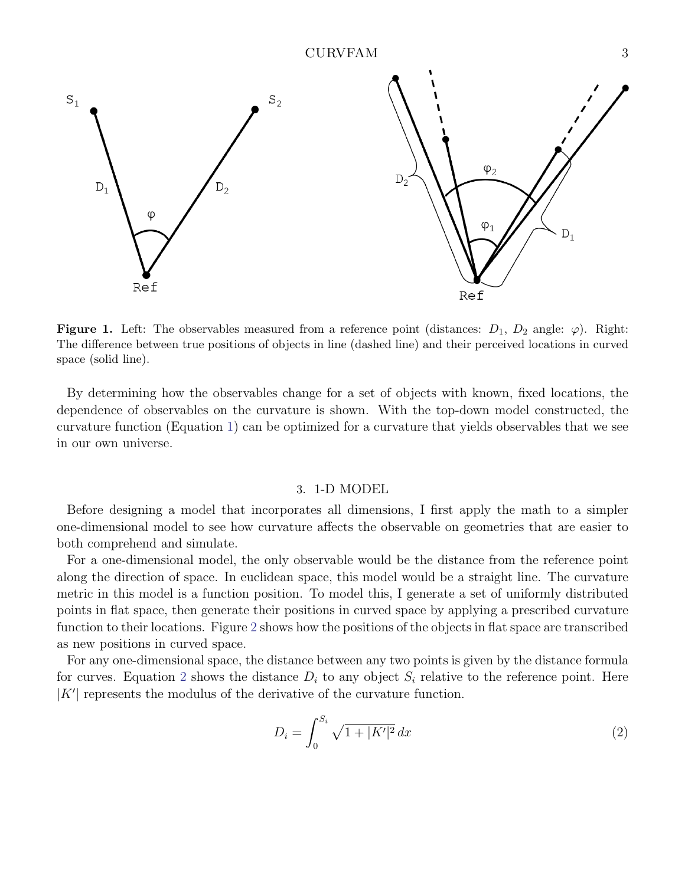

<span id="page-2-1"></span>**Figure 1.** Left: The observables measured from a reference point (distances:  $D_1$ ,  $D_2$  angle:  $\varphi$ ). Right: The difference between true positions of objects in line (dashed line) and their perceived locations in curved space (solid line).

By determining how the observables change for a set of objects with known, fixed locations, the dependence of observables on the curvature is shown. With the top-down model constructed, the curvature function (Equation [1\)](#page-1-1) can be optimized for a curvature that yields observables that we see in our own universe.

#### 3. 1-D MODEL

<span id="page-2-0"></span>Before designing a model that incorporates all dimensions, I first apply the math to a simpler one-dimensional model to see how curvature affects the observable on geometries that are easier to both comprehend and simulate.

For a one-dimensional model, the only observable would be the distance from the reference point along the direction of space. In euclidean space, this model would be a straight line. The curvature metric in this model is a function position. To model this, I generate a set of uniformly distributed points in flat space, then generate their positions in curved space by applying a prescribed curvature function to their locations. Figure [2](#page-3-1) shows how the positions of the objects in flat space are transcribed as new positions in curved space.

For any one-dimensional space, the distance between any two points is given by the distance formula for curves. Equation [2](#page-2-2) shows the distance  $D_i$  to any object  $S_i$  relative to the reference point. Here  $|K'|$  represents the modulus of the derivative of the curvature function.

<span id="page-2-2"></span>
$$
D_i = \int_0^{S_i} \sqrt{1 + |K'|^2} \, dx \tag{2}
$$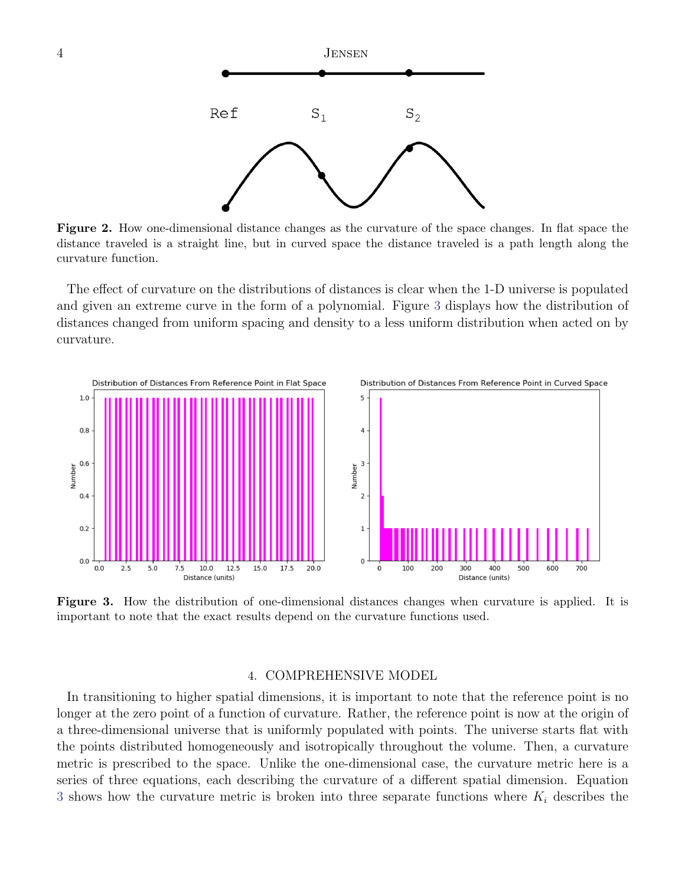

<span id="page-3-1"></span>Figure 2. How one-dimensional distance changes as the curvature of the space changes. In flat space the distance traveled is a straight line, but in curved space the distance traveled is a path length along the curvature function.

The effect of curvature on the distributions of distances is clear when the 1-D universe is populated and given an extreme curve in the form of a polynomial. Figure [3](#page-3-2) displays how the distribution of distances changed from uniform spacing and density to a less uniform distribution when acted on by curvature.



<span id="page-3-2"></span>Figure 3. How the distribution of one-dimensional distances changes when curvature is applied. It is important to note that the exact results depend on the curvature functions used.

## 4. COMPREHENSIVE MODEL

<span id="page-3-0"></span>In transitioning to higher spatial dimensions, it is important to note that the reference point is no longer at the zero point of a function of curvature. Rather, the reference point is now at the origin of a three-dimensional universe that is uniformly populated with points. The universe starts flat with the points distributed homogeneously and isotropically throughout the volume. Then, a curvature metric is prescribed to the space. Unlike the one-dimensional case, the curvature metric here is a series of three equations, each describing the curvature of a different spatial dimension. Equation [3](#page-4-0) shows how the curvature metric is broken into three separate functions where  $K_i$  describes the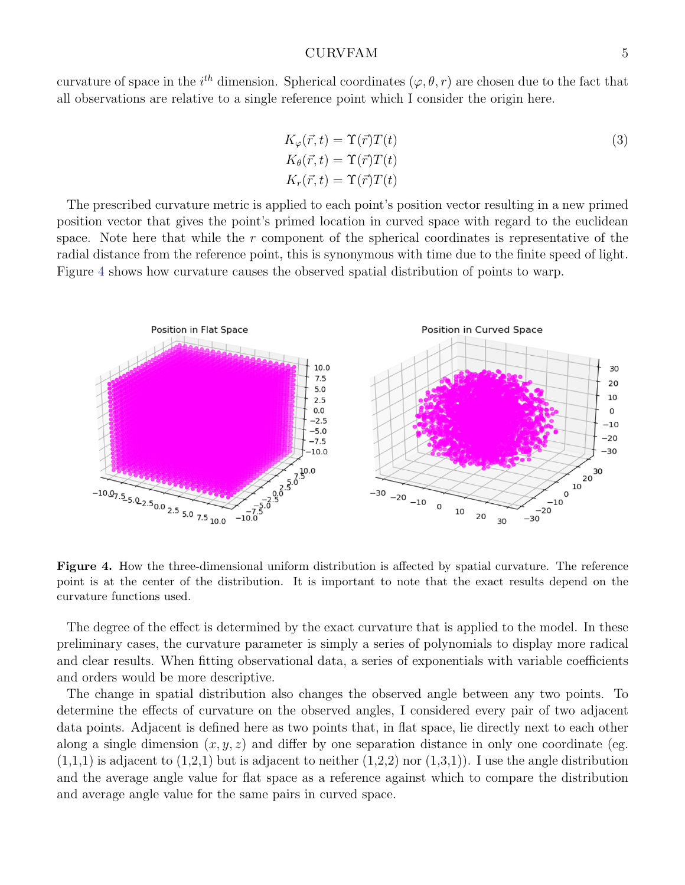### CURVFAM 5

curvature of space in the i<sup>th</sup> dimension. Spherical coordinates  $(\varphi, \theta, r)$  are chosen due to the fact that all observations are relative to a single reference point which I consider the origin here.

<span id="page-4-0"></span>
$$
K_{\varphi}(\vec{r},t) = \Upsilon(\vec{r})T(t)
$$
  
\n
$$
K_{\theta}(\vec{r},t) = \Upsilon(\vec{r})T(t)
$$
  
\n
$$
K_{r}(\vec{r},t) = \Upsilon(\vec{r})T(t)
$$
\n(3)

The prescribed curvature metric is applied to each point's position vector resulting in a new primed position vector that gives the point's primed location in curved space with regard to the euclidean space. Note here that while the r component of the spherical coordinates is representative of the radial distance from the reference point, this is synonymous with time due to the finite speed of light. Figure [4](#page-4-1) shows how curvature causes the observed spatial distribution of points to warp.



<span id="page-4-1"></span>Figure 4. How the three-dimensional uniform distribution is affected by spatial curvature. The reference point is at the center of the distribution. It is important to note that the exact results depend on the curvature functions used.

The degree of the effect is determined by the exact curvature that is applied to the model. In these preliminary cases, the curvature parameter is simply a series of polynomials to display more radical and clear results. When fitting observational data, a series of exponentials with variable coefficients and orders would be more descriptive.

The change in spatial distribution also changes the observed angle between any two points. To determine the effects of curvature on the observed angles, I considered every pair of two adjacent data points. Adjacent is defined here as two points that, in flat space, lie directly next to each other along a single dimension  $(x, y, z)$  and differ by one separation distance in only one coordinate (eg.  $(1,1,1)$  is adjacent to  $(1,2,1)$  but is adjacent to neither  $(1,2,2)$  nor  $(1,3,1)$ ). I use the angle distribution and the average angle value for flat space as a reference against which to compare the distribution and average angle value for the same pairs in curved space.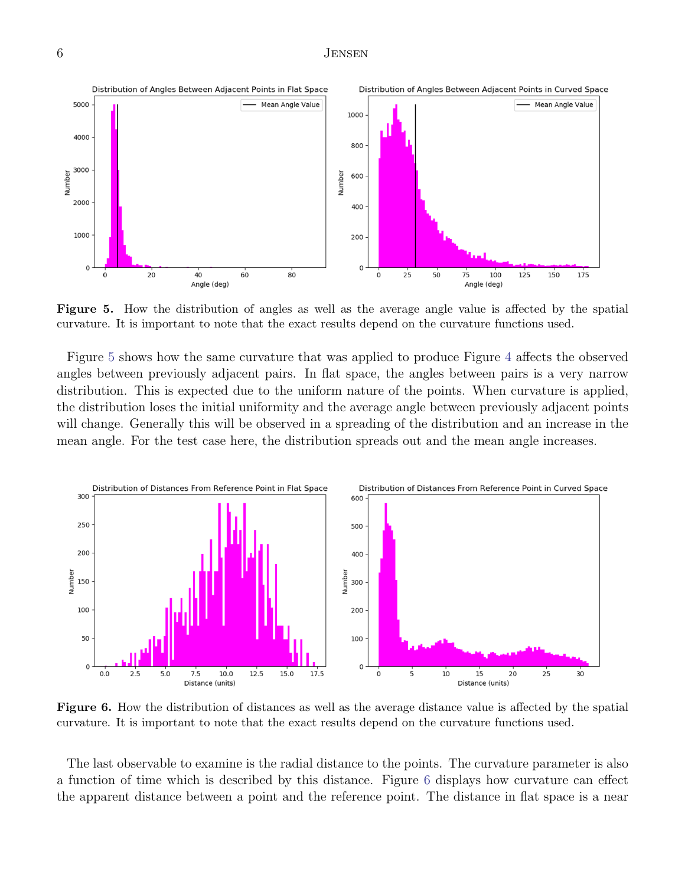# 6 Jensen



<span id="page-5-0"></span>Figure 5. How the distribution of angles as well as the average angle value is affected by the spatial curvature. It is important to note that the exact results depend on the curvature functions used.

Figure [5](#page-5-0) shows how the same curvature that was applied to produce Figure [4](#page-4-1) affects the observed angles between previously adjacent pairs. In flat space, the angles between pairs is a very narrow distribution. This is expected due to the uniform nature of the points. When curvature is applied, the distribution loses the initial uniformity and the average angle between previously adjacent points will change. Generally this will be observed in a spreading of the distribution and an increase in the mean angle. For the test case here, the distribution spreads out and the mean angle increases.



<span id="page-5-1"></span>Figure 6. How the distribution of distances as well as the average distance value is affected by the spatial curvature. It is important to note that the exact results depend on the curvature functions used.

The last observable to examine is the radial distance to the points. The curvature parameter is also a function of time which is described by this distance. Figure [6](#page-5-1) displays how curvature can effect the apparent distance between a point and the reference point. The distance in flat space is a near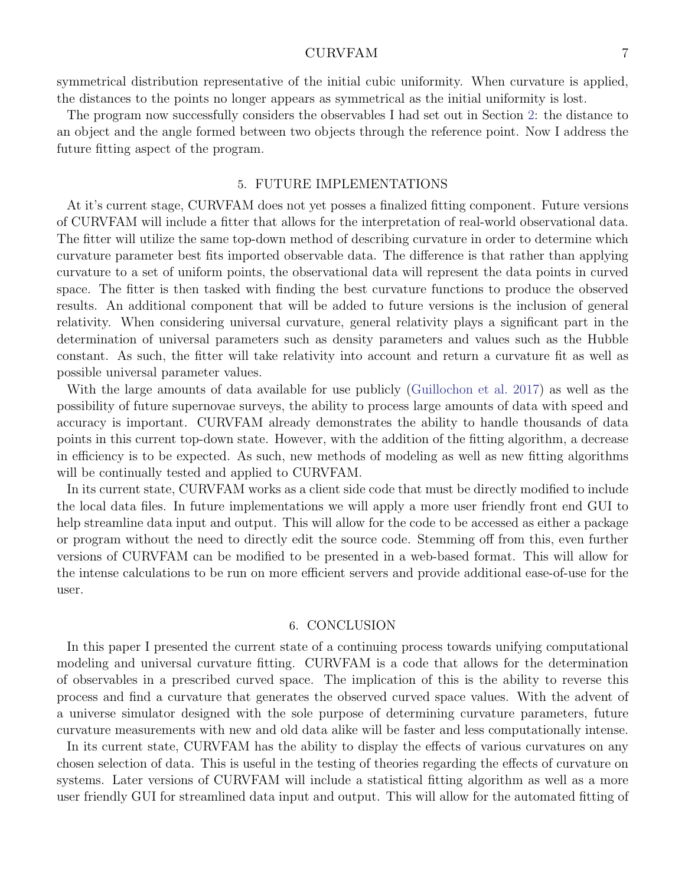#### CURVFAM 7

symmetrical distribution representative of the initial cubic uniformity. When curvature is applied, the distances to the points no longer appears as symmetrical as the initial uniformity is lost.

The program now successfully considers the observables I had set out in Section [2:](#page-1-0) the distance to an object and the angle formed between two objects through the reference point. Now I address the future fitting aspect of the program.

## 5. FUTURE IMPLEMENTATIONS

<span id="page-6-0"></span>At it's current stage, CURVFAM does not yet posses a finalized fitting component. Future versions of CURVFAM will include a fitter that allows for the interpretation of real-world observational data. The fitter will utilize the same top-down method of describing curvature in order to determine which curvature parameter best fits imported observable data. The difference is that rather than applying curvature to a set of uniform points, the observational data will represent the data points in curved space. The fitter is then tasked with finding the best curvature functions to produce the observed results. An additional component that will be added to future versions is the inclusion of general relativity. When considering universal curvature, general relativity plays a significant part in the determination of universal parameters such as density parameters and values such as the Hubble constant. As such, the fitter will take relativity into account and return a curvature fit as well as possible universal parameter values.

With the large amounts of data available for use publicly [\(Guillochon et al.](#page-7-11) [2017\)](#page-7-11) as well as the possibility of future supernovae surveys, the ability to process large amounts of data with speed and accuracy is important. CURVFAM already demonstrates the ability to handle thousands of data points in this current top-down state. However, with the addition of the fitting algorithm, a decrease in efficiency is to be expected. As such, new methods of modeling as well as new fitting algorithms will be continually tested and applied to CURVFAM.

In its current state, CURVFAM works as a client side code that must be directly modified to include the local data files. In future implementations we will apply a more user friendly front end GUI to help streamline data input and output. This will allow for the code to be accessed as either a package or program without the need to directly edit the source code. Stemming off from this, even further versions of CURVFAM can be modified to be presented in a web-based format. This will allow for the intense calculations to be run on more efficient servers and provide additional ease-of-use for the user.

#### 6. CONCLUSION

<span id="page-6-1"></span>In this paper I presented the current state of a continuing process towards unifying computational modeling and universal curvature fitting. CURVFAM is a code that allows for the determination of observables in a prescribed curved space. The implication of this is the ability to reverse this process and find a curvature that generates the observed curved space values. With the advent of a universe simulator designed with the sole purpose of determining curvature parameters, future curvature measurements with new and old data alike will be faster and less computationally intense.

In its current state, CURVFAM has the ability to display the effects of various curvatures on any chosen selection of data. This is useful in the testing of theories regarding the effects of curvature on systems. Later versions of CURVFAM will include a statistical fitting algorithm as well as a more user friendly GUI for streamlined data input and output. This will allow for the automated fitting of